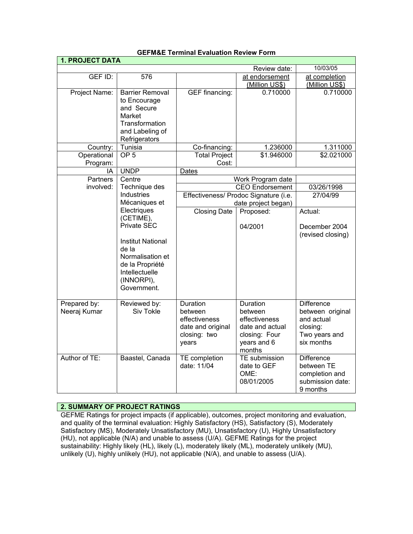|                         |                                   |                                       |                                       | <b>1. PROJECT DATA</b> |  |  |  |  |
|-------------------------|-----------------------------------|---------------------------------------|---------------------------------------|------------------------|--|--|--|--|
|                         |                                   |                                       | Review date:                          | 10/03/05               |  |  |  |  |
| GEF ID:                 | 576                               |                                       | at endorsement                        | at completion          |  |  |  |  |
|                         |                                   |                                       | (Million US\$)                        | (Million US\$)         |  |  |  |  |
| Project Name:           | Barrier Removal                   | <b>GEF</b> financing:                 | 0.710000                              | 0.710000               |  |  |  |  |
|                         | to Encourage                      |                                       |                                       |                        |  |  |  |  |
|                         | and Secure                        |                                       |                                       |                        |  |  |  |  |
|                         | Market                            |                                       |                                       |                        |  |  |  |  |
|                         | Transformation                    |                                       |                                       |                        |  |  |  |  |
|                         | and Labeling of                   |                                       |                                       |                        |  |  |  |  |
|                         | Refrigerators<br>Tunisia          |                                       | 1.236000                              |                        |  |  |  |  |
| Country:<br>Operational | OP <sub>5</sub>                   | Co-financing:<br><b>Total Project</b> | \$1.946000                            | 1.311000<br>\$2.021000 |  |  |  |  |
| Program:                |                                   | Cost:                                 |                                       |                        |  |  |  |  |
| ΙA                      | <b>UNDP</b>                       | <b>Dates</b>                          |                                       |                        |  |  |  |  |
| <b>Partners</b>         | Centre                            |                                       | Work Program date                     |                        |  |  |  |  |
| involved:               | Technique des                     |                                       | <b>CEO</b> Endorsement                | 03/26/1998             |  |  |  |  |
|                         | Industries                        |                                       | Effectiveness/ Prodoc Signature (i.e. | 27/04/99               |  |  |  |  |
|                         | Mécaniques et                     |                                       | date project began)                   |                        |  |  |  |  |
|                         | Electriques                       | <b>Closing Date</b>                   | Proposed:                             | Actual:                |  |  |  |  |
|                         | (CETIME),                         |                                       |                                       |                        |  |  |  |  |
|                         | Private SEC                       |                                       | 04/2001                               | December 2004          |  |  |  |  |
|                         |                                   |                                       |                                       | (revised closing)      |  |  |  |  |
|                         | <b>Institut National</b><br>de la |                                       |                                       |                        |  |  |  |  |
|                         | Normalisation et                  |                                       |                                       |                        |  |  |  |  |
|                         | de la Propriété                   |                                       |                                       |                        |  |  |  |  |
|                         | Intellectuelle                    |                                       |                                       |                        |  |  |  |  |
|                         | (INNORPI),                        |                                       |                                       |                        |  |  |  |  |
|                         | Government.                       |                                       |                                       |                        |  |  |  |  |
|                         |                                   |                                       |                                       |                        |  |  |  |  |
| Prepared by:            | Reviewed by:                      | Duration                              | Duration                              | <b>Difference</b>      |  |  |  |  |
| Neeraj Kumar            | Siv Tokle                         | between                               | between                               | between original       |  |  |  |  |
|                         |                                   | effectiveness                         | effectiveness                         | and actual             |  |  |  |  |
|                         |                                   | date and original                     | date and actual                       | closing:               |  |  |  |  |
|                         |                                   | closing: two                          | closing: Four                         | Two years and          |  |  |  |  |
|                         |                                   | years                                 | years and 6                           | six months             |  |  |  |  |
| Author of TE:           | Baastel, Canada                   | TE completion                         | months<br>TE submission               | <b>Difference</b>      |  |  |  |  |
|                         |                                   | date: 11/04                           | date to GEF                           | between TE             |  |  |  |  |
|                         |                                   |                                       | OME:                                  | completion and         |  |  |  |  |
|                         |                                   |                                       | 08/01/2005                            | submission date:       |  |  |  |  |
|                         |                                   |                                       |                                       | 9 months               |  |  |  |  |

#### **GEFM&E Terminal Evaluation Review Form**

# **2. SUMMARY OF PROJECT RATINGS**

GEFME Ratings for project impacts (if applicable), outcomes, project monitoring and evaluation, and quality of the terminal evaluation: Highly Satisfactory (HS), Satisfactory (S), Moderately Satisfactory (MS), Moderately Unsatisfactory (MU), Unsatisfactory (U), Highly Unsatisfactory (HU), not applicable (N/A) and unable to assess (U/A). GEFME Ratings for the project sustainability: Highly likely (HL), likely (L), moderately likely (ML), moderately unlikely (MU), unlikely (U), highly unlikely (HU), not applicable (N/A), and unable to assess (U/A).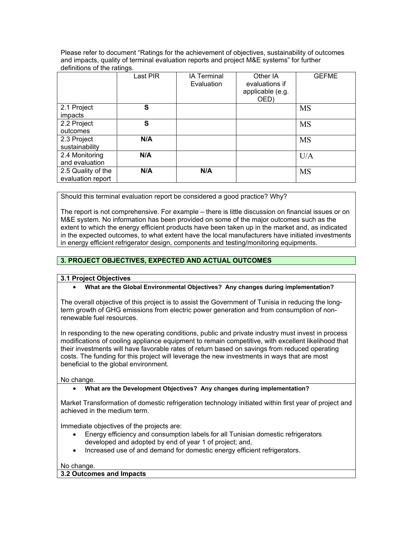Please refer to document "Ratings for the achievement of objectives, sustainability of outcomes and impacts, quality of terminal evaluation reports and project M&E systems" for further definitions of the ratings.

|                    | Last PIR | <b>IA Terminal</b><br>Evaluation | Other IA<br>evaluations if<br>applicable (e.g.<br>OED) | <b>GEFME</b> |
|--------------------|----------|----------------------------------|--------------------------------------------------------|--------------|
| 2.1 Project        | S        |                                  |                                                        | <b>MS</b>    |
| impacts            |          |                                  |                                                        |              |
| 2.2 Project        | S        |                                  |                                                        | <b>MS</b>    |
| outcomes           |          |                                  |                                                        |              |
| 2.3 Project        | N/A      |                                  |                                                        | <b>MS</b>    |
| sustainability     |          |                                  |                                                        |              |
| 2.4 Monitoring     | N/A      |                                  |                                                        | U/A          |
| and evaluation     |          |                                  |                                                        |              |
| 2.5 Quality of the | N/A      | N/A                              |                                                        | <b>MS</b>    |
| evaluation report  |          |                                  |                                                        |              |

Should this terminal evaluation report be considered a good practice? Why?

The report is not comprehensive. For example – there is little discussion on financial issues or on M&E system. No information has been provided on some of the major outcomes such as the extent to which the energy efficient products have been taken up in the market and, as indicated in the expected outcomes, to what extent have the local manufacturers have initiated investments in energy efficient refrigerator design, components and testing/monitoring equipments.

# **3. PROJECT OBJECTIVES, EXPECTED AND ACTUAL OUTCOMES**

#### **3.1 Project Objectives**

#### • **What are the Global Environmental Objectives? Any changes during implementation?**

The overall objective of this project is to assist the Government of Tunisia in reducing the longterm growth of GHG emissions from electric power generation and from consumption of nonrenewable fuel resources.

In responding to the new operating conditions, public and private industry must invest in process modifications of cooling appliance equipment to remain competitive, with excellent likelihood that their investments will have favorable rates of return based on savings from reduced operating costs. The funding for this project will leverage the new investments in ways that are most beneficial to the global environment.

No change.

#### • **What are the Development Objectives? Any changes during implementation?**

Market Transformation of domestic refrigeration technology initiated within first year of project and achieved in the medium term.

Immediate objectives of the projects are:

- Energy efficiency and consumption labels for all Tunisian domestic refrigerators developed and adopted by end of year 1 of project; and,
- Increased use of and demand for domestic energy efficient refrigerators.

#### No change.

**3.2 Outcomes and Impacts**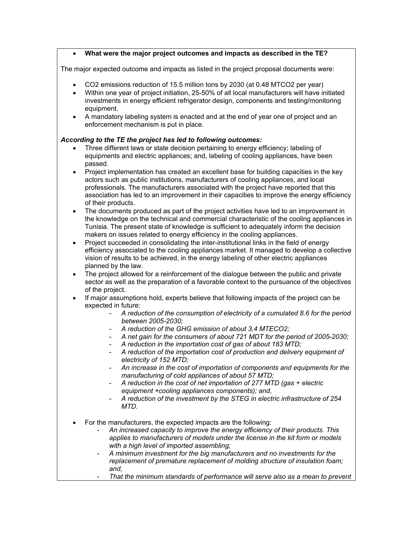#### • **What were the major project outcomes and impacts as described in the TE?**

The major expected outcome and impacts as listed in the project proposal documents were:

- CO2 emissions reduction of 15.5 million tons by 2030 (at 0.48 MTCO2 per year)
- Within one year of project initiation, 25-50% of all local manufacturers will have initiated investments in energy efficient refrigerator design, components and testing/monitoring equipment.
- A mandatory labeling system is enacted and at the end of year one of project and an enforcement mechanism is put in place.

#### *According to the TE the project has led to following outcomes:*

- Three different laws or state decision pertaining to energy efficiency; labeling of equipments and electric appliances; and, labeling of cooling appliances, have been passed.
- Project implementation has created an excellent base for building capacities in the key actors such as public institutions, manufacturers of cooling appliances, and local professionals. The manufacturers associated with the project have reported that this association has led to an improvement in their capacities to improve the energy efficiency of their products.
- The documents produced as part of the project activities have led to an improvement in the knowledge on the technical and commercial characteristic of the cooling appliances in Tunisia. The present state of knowledge is sufficient to adequately inform the decision makers on issues related to energy efficiency in the cooling appliances.
- Project succeeded in consolidating the inter-institutional links in the field of energy efficiency associated to the cooling appliances market. It managed to develop a collective vision of results to be achieved, in the energy labeling of other electric appliances planned by the law.
- The project allowed for a reinforcement of the dialogue between the public and private sector as well as the preparation of a favorable context to the pursuance of the objectives of the project.
- If major assumptions hold, experts believe that following impacts of the project can be expected in future:
	- *A reduction of the consumption of electricity of a cumulated 8.6 for the period between 2005-2030;*
	- *A reduction of the GHG emission of about 3,4 MTECO2;*
	- *A net gain for the consumers of about 721 MDT for the period of 2005-2030;*
	- *A reduction in the importation cost of gas of about 183 MTD;*
	- *A reduction of the importation cost of production and delivery equipment of electricity of 152 MTD;*
	- *An increase in the cost of importation of components and equipments for the manufacturing of cold appliances of about 57 MTD;*
	- *A reduction in the cost of net importation of 277 MTD (gas + electric equipment +cooling appliances components); and,*
	- *A reduction of the investment by the STEG in electric infrastructure of 254 MTD.*
- For the manufacturers, the expected impacts are the following:
	- *An increased capacity to improve the energy efficiency of their products. This applies to manufacturers of models under the license in the kit form or models with a high level of imported assembling;*
	- *A minimum investment for the big manufacturers and no investments for the replacement of premature replacement of molding structure of insulation foam; and,* 
		- *That the minimum standards of performance will serve also as a mean to prevent*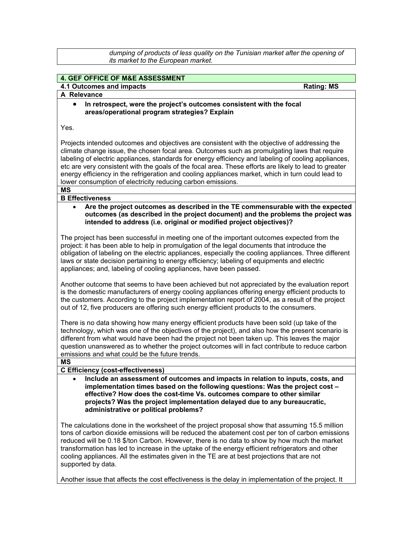*dumping of products of less quality on the Tunisian market after the opening of its market to the European market.*

## **4. GEF OFFICE OF M&E ASSESSMENT**

# **4.1 Outcomes and impacts All and Security Rating: MS** Rating: MS

# **A Relevance**

• **In retrospect, were the project's outcomes consistent with the focal areas/operational program strategies? Explain**

Yes.

Projects intended outcomes and objectives are consistent with the objective of addressing the climate change issue, the chosen focal area. Outcomes such as promulgating laws that require labeling of electric appliances, standards for energy efficiency and labeling of cooling appliances, etc are very consistent with the goals of the focal area. These efforts are likely to lead to greater energy efficiency in the refrigeration and cooling appliances market, which in turn could lead to lower consumption of electricity reducing carbon emissions.

# **MS**

# **B Effectiveness**

• **Are the project outcomes as described in the TE commensurable with the expected outcomes (as described in the project document) and the problems the project was intended to address (i.e. original or modified project objectives)?** 

The project has been successful in meeting one of the important outcomes expected from the project: it has been able to help in promulgation of the legal documents that introduce the obligation of labeling on the electric appliances, especially the cooling appliances. Three different laws or state decision pertaining to energy efficiency; labeling of equipments and electric appliances; and, labeling of cooling appliances, have been passed.

Another outcome that seems to have been achieved but not appreciated by the evaluation report is the domestic manufacturers of energy cooling appliances offering energy efficient products to the customers. According to the project implementation report of 2004, as a result of the project out of 12, five producers are offering such energy efficient products to the consumers.

There is no data showing how many energy efficient products have been sold (up take of the technology, which was one of the objectives of the project), and also how the present scenario is different from what would have been had the project not been taken up. This leaves the major question unanswered as to whether the project outcomes will in fact contribute to reduce carbon emissions and what could be the future trends.

**MS**

#### **C Efficiency (cost-effectiveness)**

• **Include an assessment of outcomes and impacts in relation to inputs, costs, and implementation times based on the following questions: Was the project cost – effective? How does the cost-time Vs. outcomes compare to other similar projects? Was the project implementation delayed due to any bureaucratic, administrative or political problems?**

The calculations done in the worksheet of the project proposal show that assuming 15.5 million tons of carbon dioxide emissions will be reduced the abatement cost per ton of carbon emissions reduced will be 0.18 \$/ton Carbon. However, there is no data to show by how much the market transformation has led to increase in the uptake of the energy efficient refrigerators and other cooling appliances. All the estimates given in the TE are at best projections that are not supported by data.

Another issue that affects the cost effectiveness is the delay in implementation of the project. It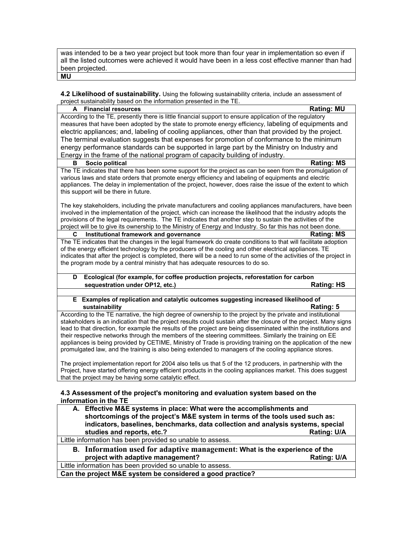was intended to be a two year project but took more than four year in implementation so even if all the listed outcomes were achieved it would have been in a less cost effective manner than had been projected. **MU**

**4.2 Likelihood of sustainability.** Using the following sustainability criteria, include an assessment of project sustainability based on the information presented in the TE.

| $\sigma$ of $\sigma$ sustainability based on the information presented in the TE.                                                                                |                   |
|------------------------------------------------------------------------------------------------------------------------------------------------------------------|-------------------|
| <b>Financial resources</b><br>A                                                                                                                                  | <b>Rating: MU</b> |
| According to the TE, presently there is little financial support to ensure application of the regulatory                                                         |                   |
| measures that have been adopted by the state to promote energy efficiency, labeling of equipments and                                                            |                   |
| electric appliances; and, labeling of cooling appliances, other than that provided by the project.                                                               |                   |
| The terminal evaluation suggests that expenses for promotion of conformance to the minimum                                                                       |                   |
| energy performance standards can be supported in large part by the Ministry on Industry and                                                                      |                   |
| Energy in the frame of the national program of capacity building of industry.                                                                                    |                   |
| Socio political<br>в                                                                                                                                             | <b>Rating: MS</b> |
| The TE indicates that there has been some support for the project as can be seen from the promulgation of                                                        |                   |
| various laws and state orders that promote energy efficiency and labeling of equipments and electric                                                             |                   |
| appliances. The delay in implementation of the project, however, does raise the issue of the extent to which                                                     |                   |
| this support will be there in future.                                                                                                                            |                   |
|                                                                                                                                                                  |                   |
| The key stakeholders, including the private manufacturers and cooling appliances manufacturers, have been                                                        |                   |
| involved in the implementation of the project, which can increase the likelihood that the industry adopts the                                                    |                   |
| provisions of the legal requirements. The TE indicates that another step to sustain the activities of the                                                        |                   |
| project will be to give its ownership to the Ministry of Energy and Industry. So far this has not been done.                                                     |                   |
| Institutional framework and governance<br>С<br>The TE indicates that the changes in the legal framework do create conditions to that will facilitate adoption    | <b>Rating: MS</b> |
| of the energy efficient technology by the producers of the cooling and other electrical appliances. TE                                                           |                   |
| indicates that after the project is completed, there will be a need to run some of the activities of the project in                                              |                   |
| the program mode by a central ministry that has adequate resources to do so.                                                                                     |                   |
|                                                                                                                                                                  |                   |
| Ecological (for example, for coffee production projects, reforestation for carbon<br>D                                                                           |                   |
| sequestration under OP12, etc.)                                                                                                                                  | <b>Rating: HS</b> |
|                                                                                                                                                                  |                   |
| E Examples of replication and catalytic outcomes suggesting increased likelihood of                                                                              |                   |
| sustainability                                                                                                                                                   | Rating: 5         |
| According to the TE narrative, the high degree of ownership to the project by the private and institutional                                                      |                   |
|                                                                                                                                                                  |                   |
| stakeholders is an indication that the project results could sustain after the closure of the project. Many signs                                                |                   |
| lead to that direction, for example the results of the project are being disseminated within the institutions and                                                |                   |
| their respective networks through the members of the steering committees. Similarly the training on EE                                                           |                   |
| appliances is being provided by CETIME, Ministry of Trade is providing training on the application of the new                                                    |                   |
| promulgated law, and the training is also being extended to managers of the cooling appliance stores.                                                            |                   |
|                                                                                                                                                                  |                   |
| The project implementation report for 2004 also tells us that 5 of the 12 producers, in partnership with the                                                     |                   |
| Project, have started offering energy efficient products in the cooling appliances market. This does suggest                                                     |                   |
| that the project may be having some catalytic effect.                                                                                                            |                   |
|                                                                                                                                                                  |                   |
| 4.3 Assessment of the project's monitoring and evaluation system based on the                                                                                    |                   |
| information in the TE                                                                                                                                            |                   |
| A. Effective M&E systems in place: What were the accomplishments and                                                                                             |                   |
| shortcomings of the project's M&E system in terms of the tools used such as:<br>indicators, baselines, benchmarks, data collection and analysis systems, special |                   |

**studies and reports, etc.? Rating: U/A**

Little information has been provided so unable to assess.

**B. Information used for adaptive management: What is the experience of the**  project with adaptive management?

Little information has been provided so unable to assess.

**Can the project M&E system be considered a good practice?**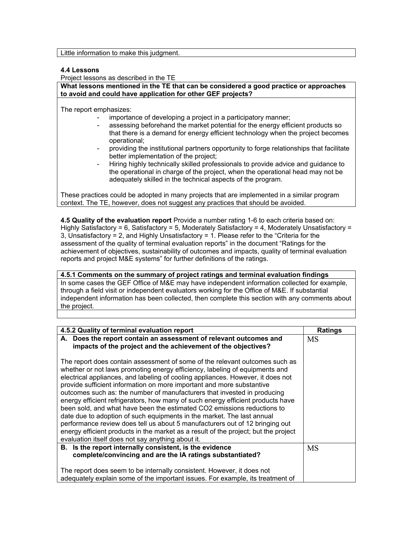Little information to make this judgment.

#### **4.4 Lessons**

Project lessons as described in the TE

**What lessons mentioned in the TE that can be considered a good practice or approaches to avoid and could have application for other GEF projects?**

The report emphasizes:

- importance of developing a project in a participatory manner;
- assessing beforehand the market potential for the energy efficient products so that there is a demand for energy efficient technology when the project becomes operational;
- providing the institutional partners opportunity to forge relationships that facilitate better implementation of the project;
- Hiring highly technically skilled professionals to provide advice and guidance to the operational in charge of the project, when the operational head may not be adequately skilled in the technical aspects of the program.

These practices could be adopted in many projects that are implemented in a similar program context. The TE, however, does not suggest any practices that should be avoided.

**4.5 Quality of the evaluation report** Provide a number rating 1-6 to each criteria based on: Highly Satisfactory = 6, Satisfactory = 5, Moderately Satisfactory = 4, Moderately Unsatisfactory = 3, Unsatisfactory = 2, and Highly Unsatisfactory = 1. Please refer to the "Criteria for the assessment of the quality of terminal evaluation reports" in the document "Ratings for the achievement of objectives, sustainability of outcomes and impacts, quality of terminal evaluation reports and project M&E systems" for further definitions of the ratings.

# **4.5.1 Comments on the summary of project ratings and terminal evaluation findings** In some cases the GEF Office of M&E may have independent information collected for example,

through a field visit or independent evaluators working for the Office of M&E. If substantial independent information has been collected, then complete this section with any comments about the project.

| 4.5.2 Quality of terminal evaluation report                                                                                                                                                                                                                                                                                                                                                                                                                                                                                                                                                                                                                                                                                                                                                                                                                            | <b>Ratings</b> |
|------------------------------------------------------------------------------------------------------------------------------------------------------------------------------------------------------------------------------------------------------------------------------------------------------------------------------------------------------------------------------------------------------------------------------------------------------------------------------------------------------------------------------------------------------------------------------------------------------------------------------------------------------------------------------------------------------------------------------------------------------------------------------------------------------------------------------------------------------------------------|----------------|
| A. Does the report contain an assessment of relevant outcomes and<br>impacts of the project and the achievement of the objectives?                                                                                                                                                                                                                                                                                                                                                                                                                                                                                                                                                                                                                                                                                                                                     | <b>MS</b>      |
| The report does contain assessment of some of the relevant outcomes such as<br>whether or not laws promoting energy efficiency, labeling of equipments and<br>electrical appliances, and labeling of cooling appliances. However, it does not<br>provide sufficient information on more important and more substantive<br>outcomes such as: the number of manufacturers that invested in producing<br>energy efficient refrigerators, how many of such energy efficient products have<br>been sold, and what have been the estimated CO2 emissions reductions to<br>date due to adoption of such equipments in the market. The last annual<br>performance review does tell us about 5 manufacturers out of 12 bringing out<br>energy efficient products in the market as a result of the project; but the project<br>evaluation itself does not say anything about it. |                |
| B. Is the report internally consistent, is the evidence<br>complete/convincing and are the IA ratings substantiated?                                                                                                                                                                                                                                                                                                                                                                                                                                                                                                                                                                                                                                                                                                                                                   | MS             |
| The report does seem to be internally consistent. However, it does not<br>adequately explain some of the important issues. For example, its treatment of                                                                                                                                                                                                                                                                                                                                                                                                                                                                                                                                                                                                                                                                                                               |                |